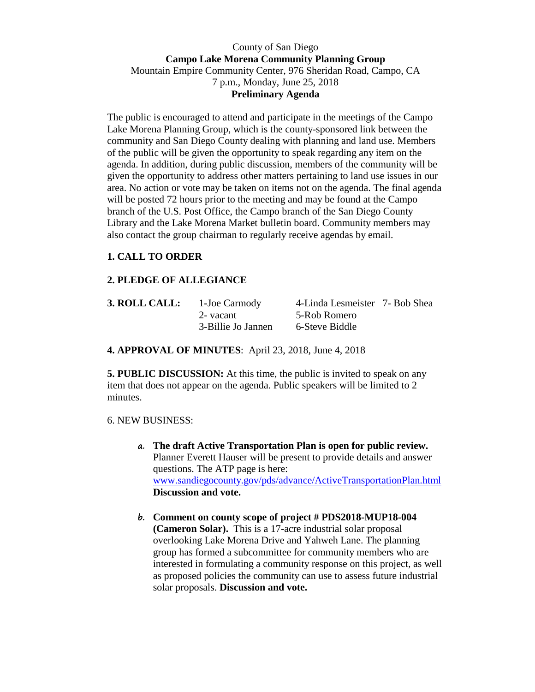### County of San Diego **Campo Lake Morena Community Planning Group**  Mountain Empire Community Center, 976 Sheridan Road, Campo, CA 7 p.m., Monday, June 25, 2018 **Preliminary Agenda**

The public is encouraged to attend and participate in the meetings of the Campo Lake Morena Planning Group, which is the county-sponsored link between the community and San Diego County dealing with planning and land use. Members of the public will be given the opportunity to speak regarding any item on the agenda. In addition, during public discussion, members of the community will be given the opportunity to address other matters pertaining to land use issues in our area. No action or vote may be taken on items not on the agenda. The final agenda will be posted 72 hours prior to the meeting and may be found at the Campo branch of the U.S. Post Office, the Campo branch of the San Diego County Library and the Lake Morena Market bulletin board. Community members may also contact the group chairman to regularly receive agendas by email.

# **1. CALL TO ORDER**

# **2. PLEDGE OF ALLEGIANCE**

| 3. ROLL CALL: | 1-Joe Carmody      | 4-Linda Lesmeister 7- Bob Shea |  |
|---------------|--------------------|--------------------------------|--|
|               | 2- vacant          | 5-Rob Romero                   |  |
|               | 3-Billie Jo Jannen | 6-Steve Biddle                 |  |

**4. APPROVAL OF MINUTES**: April 23, 2018, June 4, 2018

**5. PUBLIC DISCUSSION:** At this time, the public is invited to speak on any item that does not appear on the agenda. Public speakers will be limited to 2 minutes.

#### 6. NEW BUSINESS:

- **a. The draft Active Transportation Plan is open for public review.**  Planner Everett Hauser will be present to provide details and answer questions. The ATP page is here: www.sandiegocounty.gov/pds/advance/ActiveTransportationPlan.html **Discussion and vote.**
- **b. Comment on county scope of project # PDS2018-MUP18-004 (Cameron Solar).** This is a 17-acre industrial solar proposal overlooking Lake Morena Drive and Yahweh Lane. The planning group has formed a subcommittee for community members who are interested in formulating a community response on this project, as well as proposed policies the community can use to assess future industrial solar proposals. **Discussion and vote.**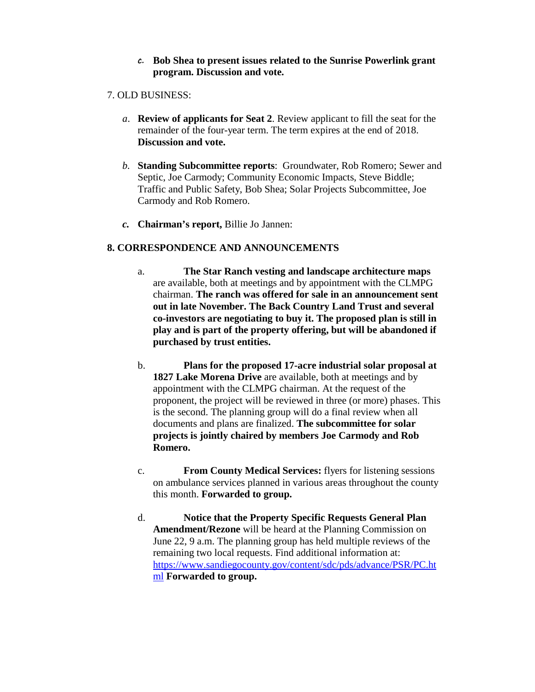#### **c. Bob Shea to present issues related to the Sunrise Powerlink grant program. Discussion and vote.**

### 7. OLD BUSINESS:

- *a*. **Review of applicants for Seat 2**. Review applicant to fill the seat for the remainder of the four-year term. The term expires at the end of 2018. **Discussion and vote.**
- *b.* **Standing Subcommittee reports**: Groundwater, Rob Romero; Sewer and Septic, Joe Carmody; Community Economic Impacts, Steve Biddle; Traffic and Public Safety, Bob Shea; Solar Projects Subcommittee, Joe Carmody and Rob Romero.
- *c.* **Chairman's report,** Billie Jo Jannen:

# **8. CORRESPONDENCE AND ANNOUNCEMENTS**

- a. **The Star Ranch vesting and landscape architecture maps** are available, both at meetings and by appointment with the CLMPG chairman. **The ranch was offered for sale in an announcement sent out in late November. The Back Country Land Trust and several co-investors are negotiating to buy it. The proposed plan is still in play and is part of the property offering, but will be abandoned if purchased by trust entities.**
- b. **Plans for the proposed 17-acre industrial solar proposal at 1827 Lake Morena Drive** are available, both at meetings and by appointment with the CLMPG chairman. At the request of the proponent, the project will be reviewed in three (or more) phases. This is the second. The planning group will do a final review when all documents and plans are finalized. **The subcommittee for solar projects is jointly chaired by members Joe Carmody and Rob Romero.**
- c. **From County Medical Services:** flyers for listening sessions on ambulance services planned in various areas throughout the county this month. **Forwarded to group.**
- d. **Notice that the Property Specific Requests General Plan Amendment/Rezone** will be heard at the Planning Commission on June 22, 9 a.m. The planning group has held multiple reviews of the remaining two local requests. Find additional information at: https://www.sandiegocounty.gov/content/sdc/pds/advance/PSR/PC.ht ml **Forwarded to group.**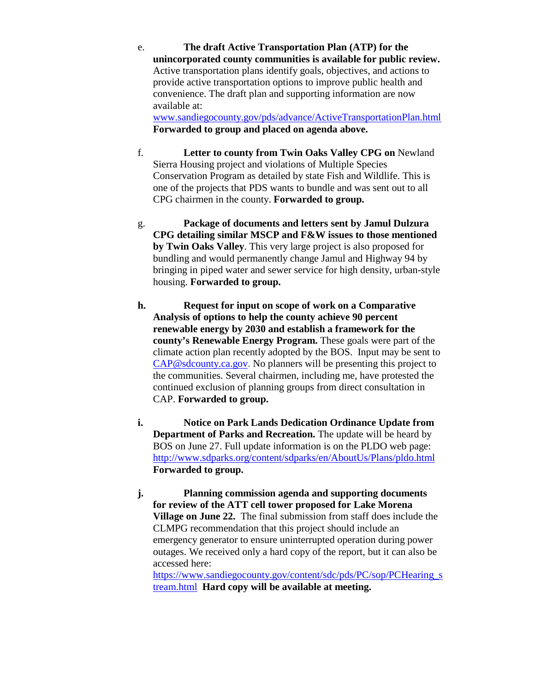e. **The draft Active Transportation Plan (ATP) for the unincorporated county communities is available for public review.** Active transportation plans identify goals, objectives, and actions to provide active transportation options to improve public health and convenience. The draft plan and supporting information are now available at:

www.sandiegocounty.gov/pds/advance/ActiveTransportationPlan.html **Forwarded to group and placed on agenda above.**

- f. **Letter to county from Twin Oaks Valley CPG on** Newland Sierra Housing project and violations of Multiple Species Conservation Program as detailed by state Fish and Wildlife. This is one of the projects that PDS wants to bundle and was sent out to all CPG chairmen in the county. **Forwarded to group.**
- g. **Package of documents and letters sent by Jamul Dulzura CPG detailing similar MSCP and F&W issues to those mentioned by Twin Oaks Valley**. This very large project is also proposed for bundling and would permanently change Jamul and Highway 94 by bringing in piped water and sewer service for high density, urban-style housing. **Forwarded to group.**
- **h. Request for input on scope of work on a Comparative Analysis of options to help the county achieve 90 percent renewable energy by 2030 and establish a framework for the county's Renewable Energy Program.** These goals were part of the climate action plan recently adopted by the BOS. Input may be sent to CAP@sdcounty.ca.gov. No planners will be presenting this project to the communities. Several chairmen, including me, have protested the continued exclusion of planning groups from direct consultation in CAP. **Forwarded to group.**
- **i. Notice on Park Lands Dedication Ordinance Update from Department of Parks and Recreation.** The update will be heard by BOS on June 27. Full update information is on the PLDO web page: http://www.sdparks.org/content/sdparks/en/AboutUs/Plans/pldo.html **Forwarded to group.**
- **j. Planning commission agenda and supporting documents for review of the ATT cell tower proposed for Lake Morena Village on June 22.** The final submission from staff does include the CLMPG recommendation that this project should include an emergency generator to ensure uninterrupted operation during power outages. We received only a hard copy of the report, but it can also be accessed here:

https://www.sandiegocounty.gov/content/sdc/pds/PC/sop/PCHearing\_s tream.html **Hard copy will be available at meeting.**